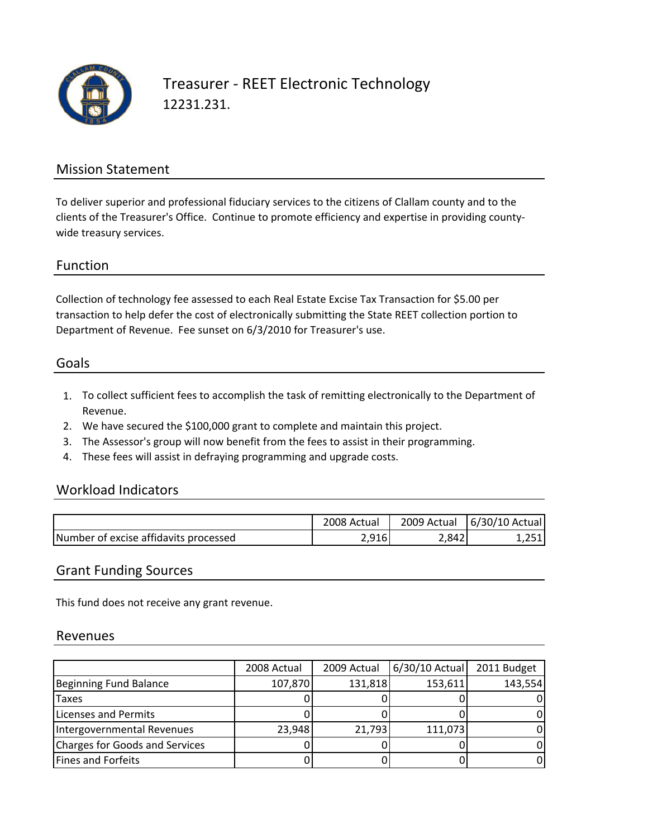

## Treasurer ‐ REET Electronic Technology 12231.231.

### Mission Statement

To deliver superior and professional fiduciary services to the citizens of Clallam county and to the clients of the Treasurer's Office. Continue to promote efficiency and expertise in providing county‐ wide treasury services.

#### Function

Collection of technology fee assessed to each Real Estate Excise Tax Transaction for \$5.00 per transaction to help defer the cost of electronically submitting the State REET collection portion to Department of Revenue. Fee sunset on 6/3/2010 for Treasurer's use.

### Goals

- 1. To collect sufficient fees to accomplish the task of remitting electronically to the Department of Revenue.
- 2. We have secured the \$100,000 grant to complete and maintain this project.
- 3. The Assessor's group will now benefit from the fees to assist in their programming.
- 4. These fees will assist in defraying programming and upgrade costs.

#### Workload Indicators

|                                       | 2008 Actual | 2009 Actual | 6/30/10 Actual |
|---------------------------------------|-------------|-------------|----------------|
| Number of excise affidavits processed | 2,916       | 2,842       | つに1            |

#### Grant Funding Sources

This fund does not receive any grant revenue.

#### Revenues

|                                | 2008 Actual | 2009 Actual | $6/30/10$ Actual | 2011 Budget |
|--------------------------------|-------------|-------------|------------------|-------------|
| Beginning Fund Balance         | 107,870     | 131,818     | 153,611          | 143,554     |
| Taxes                          |             |             |                  |             |
| Licenses and Permits           |             |             |                  |             |
| Intergovernmental Revenues     | 23,948      | 21,793      | 111,073          |             |
| Charges for Goods and Services |             |             |                  |             |
| <b>Fines and Forfeits</b>      |             |             |                  |             |